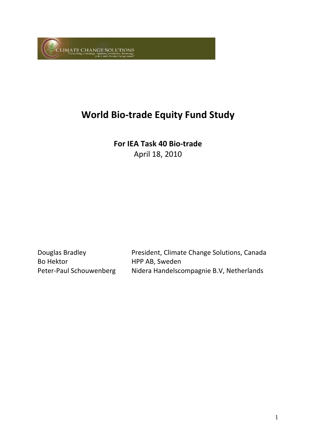

# **World Bio‐trade Equity Fund Study**

**For IEA Task 40 Bio‐trade** April 18, 2010

Bo Hektor **HPP AB**, Sweden

Douglas Bradley President, Climate Change Solutions, Canada Peter‐Paul Schouwenberg Nidera Handelscompagnie B.V, Netherlands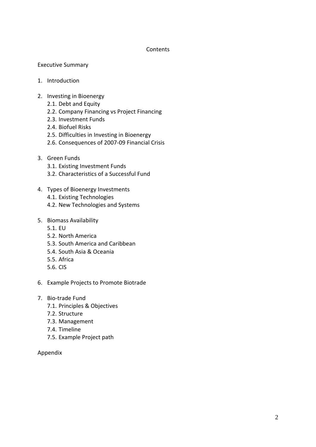#### **Contents**

# Executive Summary

- 1. Introduction
- 2. Investing in Bioenergy
	- 2.1. Debt and Equity
	- 2.2. Company Financing vs Project Financing
	- 2.3. Investment Funds
	- 2.4. Biofuel Risks
	- 2.5. Difficulties in Investing in Bioenergy
	- 2.6. Consequences of 2007‐09 Financial Crisis
- 3. Green Funds
	- 3.1. Existing Investment Funds
	- 3.2. Characteristics of a Successful Fund
- 4. Types of Bioenergy Investments
	- 4.1. Existing Technologies
	- 4.2. New Technologies and Systems
- 5. Biomass Availability
	- 5.1. EU
	- 5.2. North America
	- 5.3. South America and Caribbean
	- 5.4. South Asia & Oceania
	- 5.5. Africa
	- 5.6. CIS
- 6. Example Projects to Promote Biotrade
- 7. Bio‐trade Fund
	- 7.1. Principles & Objectives
	- 7.2. Structure
	- 7.3. Management
	- 7.4. Timeline
	- 7.5. Example Project path

#### Appendix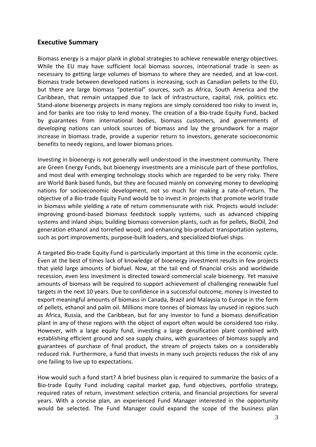# **Executive Summary**

Biomass energy is a major plank in global strategies to achieve renewable energy objectives. While the EU may have sufficient local biomass sources, international trade is seen as necessary to getting large volumes of biomass to where they are needed, and at low‐cost. Biomass trade between developed nations is increasing, such as Canadian pellets to the EU, but there are large biomass "potential" sources, such as Africa, South America and the Caribbean, that remain untapped due to lack of infrastructure, capital, risk, politics etc. Stand‐alone bioenergy projects in many regions are simply considered too risky to invest in, and for banks are too risky to lend money. The creation of a Bio-trade Equity Fund, backed by guarantees from international bodies, biomass customers, and governments of developing nations can unlock sources of biomass and lay the groundwork for a major increase in biomass trade, provide a superior return to investors, generate socioeconomic benefits to needy regions, and lower biomass prices.

Investing in bioenergy is not generally well understood in the investment community. There are Green Energy Funds, but bioenergy investments are a miniscule part of these portfolios, and most deal with emerging technology stocks which are regarded to be very risky. There are World Bank based funds, but they are focused mainly on conveying money to developing nations for socioeconomic development, not so much for making a rate‐of‐return. The objective of a Bio‐trade Equity Fund would be to invest in projects that promote world trade in biomass while yielding a rate of return commensurate with risk. Projects would include: improving ground‐based biomass feedstock supply systems, such as advanced chipping systems and inland ships; building biomass conversion plants, such as for pellets, BioOil, 2nd generation ethanol and torrefied wood; and enhancing bio‐product transportation systems, such as port improvements, purpose‐built loaders, and specialized biofuel ships.

A targeted Bio‐trade Equity Fund is particularly important at this time in the economic cycle. Even at the best of times lack of knowledge of bioenergy investment results in few projects that yield large amounts of biofuel. Now, at the tail end of financial crisis and worldwide recession, even less investment is directed toward commercial scale bioenergy. Yet massive amounts of biomass will be required to support achievement of challenging renewable fuel targets in the next 10 years. Due to confidence in a successful outcome, money is invested to export meaningful amounts of biomass in Canada, Brazil and Malaysia to Europe in the form of pellets, ethanol and palm oil. Millions more tonnes of biomass lay unused in regions such as Africa, Russia, and the Caribbean, but for any investor to fund a biomass densification plant in any of these regions with the object of export often would be considered too risky. However, with a large equity fund, investing a large densification plant combined with establishing efficient ground and sea supply chains, with guarantees of biomass supply and guarantees of purchase of final product, the stream of projects takes on a considerably reduced risk. Furthermore, a fund that invests in many such projects reduces the risk of any one failing to live up to expectations.

How would such a fund start? A brief business plan is required to summarize the basics of a Bio‐trade Equity Fund including capital market gap, fund objectives, portfolio strategy, required rates of return, investment selection criteria, and financial projections for several years. With a concise plan, an experienced Fund Manager interested in the opportunity would be selected. The Fund Manager could expand the scope of the business plan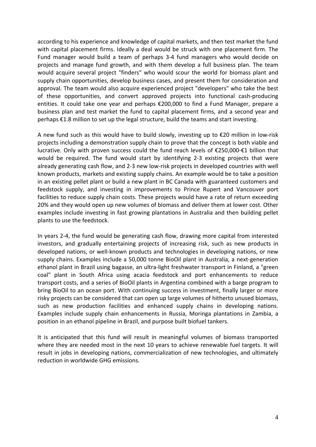according to his experience and knowledge of capital markets, and then test market the fund with capital placement firms. Ideally a deal would be struck with one placement firm. The Fund manager would build a team of perhaps 3‐4 fund managers who would decide on projects and manage fund growth, and with them develop a full business plan. The team would acquire several project "finders" who would scour the world for biomass plant and supply chain opportunities, develop business cases, and present them for consideration and approval. The team would also acquire experienced project "developers" who take the best of these opportunities, and convert approved projects into functional cash‐producing entities. It could take one year and perhaps €200,000 to find a Fund Manager, prepare a business plan and test market the fund to capital placement firms, and a second year and perhaps €1.8 million to set up the legal structure, build the teams and start investing.

A new fund such as this would have to build slowly, investing up to  $\epsilon$ 20 million in low-risk projects including a demonstration supply chain to prove that the concept is both viable and lucrative. Only with proven success could the fund reach levels of €250,000‐€1 billion that would be required. The fund would start by identifying 2-3 existing projects that were already generating cash flow, and 2-3 new low-risk projects in developed countries with well known products, markets and existing supply chains. An example would be to take a position in an existing pellet plant or build a new plant in BC Canada with guaranteed customers and feedstock supply, and investing in improvements to Prince Rupert and Vancouver port facilities to reduce supply chain costs. These projects would have a rate of return exceeding 20% and they would open up new volumes of biomass and deliver them at lower cost. Other examples include investing in fast growing plantations in Australia and then building pellet plants to use the feedstock.

In years 2‐4, the fund would be generating cash flow, drawing more capital from interested investors, and gradually entertaining projects of increasing risk, such as new products in developed nations, or well‐known products and technologies in developing nations, or new supply chains. Examples include a 50,000 tonne BioOil plant in Australia, a next‐generation ethanol plant in Brazil using bagasse, an ultra‐light freshwater transport in Finland, a "green coal" plant in South Africa using acacia feedstock and port enhancements to reduce transport costs, and a series of BioOil plants in Argentina combined with a barge program to bring BioOil to an ocean port. With continuing success in investment, finally larger or more risky projects can be considered that can open up large volumes of hitherto unused biomass, such as new production facilities and enhanced supply chains in developing nations. Examples include supply chain enhancements in Russia, Moringa plantations in Zambia, a position in an ethanol pipeline in Brazil, and purpose built biofuel tankers.

It is anticipated that this fund will result in meaningful volumes of biomass transported where they are needed most in the next 10 years to achieve renewable fuel targets. It will result in jobs in developing nations, commercialization of new technologies, and ultimately reduction in worldwide GHG emissions.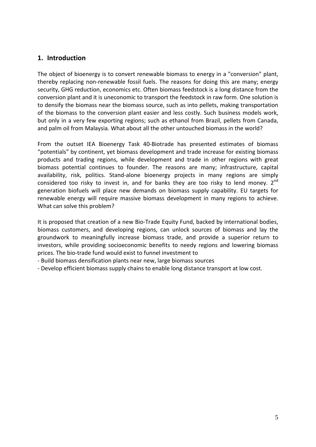# **1. Introduction**

The object of bioenergy is to convert renewable biomass to energy in a "conversion" plant, thereby replacing non‐renewable fossil fuels. The reasons for doing this are many; energy security, GHG reduction, economics etc. Often biomass feedstock is a long distance from the conversion plant and it is uneconomic to transport the feedstock in raw form. One solution is to densify the biomass near the biomass source, such as into pellets, making transportation of the biomass to the conversion plant easier and less costly. Such business models work, but only in a very few exporting regions; such as ethanol from Brazil, pellets from Canada, and palm oil from Malaysia. What about all the other untouched biomass in the world?

From the outset IEA Bioenergy Task 40‐Biotrade has presented estimates of biomass "potentials" by continent, yet biomass development and trade increase for existing biomass products and trading regions, while development and trade in other regions with great biomass potential continues to founder. The reasons are many; infrastructure, capital availability, risk, politics. Stand‐alone bioenergy projects in many regions are simply considered too risky to invest in, and for banks they are too risky to lend money.  $2^{nd}$ generation biofuels will place new demands on biomass supply capability. EU targets for renewable energy will require massive biomass development in many regions to achieve. What can solve this problem?

It is proposed that creation of a new Bio-Trade Equity Fund, backed by international bodies, biomass customers, and developing regions, can unlock sources of biomass and lay the groundwork to meaningfully increase biomass trade, and provide a superior return to investors, while providing socioeconomic benefits to needy regions and lowering biomass prices. The bio‐trade fund would exist to funnel investment to

- ‐ Build biomass densification plants near new, large biomass sources
- ‐ Develop efficient biomass supply chains to enable long distance transport at low cost.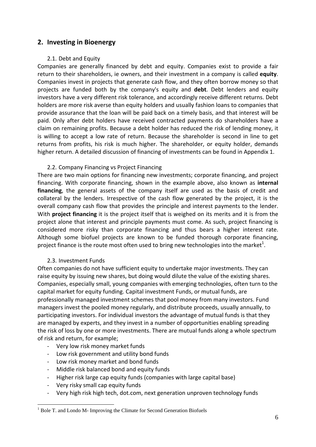# **2. Investing in Bioenergy**

#### 2.1. Debt and Equity

Companies are generally financed by debt and equity. Companies exist to provide a fair return to their shareholders, ie owners, and their investment in a company is called **equity**. Companies invest in projects that generate cash flow, and they often borrow money so that projects are funded both by the company's equity and **debt**. Debt lenders and equity investors have a very different risk tolerance, and accordingly receive different returns. Debt holders are more risk averse than equity holders and usually fashion loans to companies that provide assurance that the loan will be paid back on a timely basis, and that interest will be paid. Only after debt holders have received contracted payments do shareholders have a claim on remaining profits. Because a debt holder has reduced the risk of lending money, it is willing to accept a low rate of return. Because the shareholder is second in line to get returns from profits, his risk is much higher. The shareholder, or equity holder, demands higher return. A detailed discussion of financing of investments can be found in Appendix 1.

#### 2.2. Company Financing vs Project Financing

There are two main options for financing new investments; corporate financing, and project financing. With corporate financing, shown in the example above, also known as **internal financing**, the general assets of the company itself are used as the basis of credit and collateral by the lenders. Irrespective of the cash flow generated by the project, it is the overall company cash flow that provides the principle and interest payments to the lender. With **project financing** it is the project itself that is weighed on its merits and it is from the project alone that interest and principle payments must come. As such, project financing is considered more risky than corporate financing and thus bears a higher interest rate. Although some biofuel projects are known to be funded thorough corporate financing, project finance is the route most often used to bring new technologies into the market<sup>1</sup>.

#### 2.3. Investment Funds

Often companies do not have sufficient equity to undertake major investments. They can raise equity by issuing new shares, but doing would dilute the value of the existing shares. Companies, especially small, young companies with emerging technologies, often turn to the capital market for equity funding. Capital investment Funds, or mutual funds, are professionally managed investment schemes that pool money from many investors. Fund managers invest the pooled money regularly, and distribute proceeds, usually annually, to participating investors. For individual investors the advantage of mutual funds is that they are managed by experts, and they invest in a number of opportunities enabling spreading the risk of loss by one or more investments. There are mutual funds along a whole spectrum of risk and return, for example;

- ‐ Very low risk money market funds
- ‐ Low risk government and utility bond funds
- ‐ Low risk money market and bond funds
- ‐ Middle risk balanced bond and equity funds
- ‐ Higher risk large cap equity funds (companies with large capital base)
- ‐ Very risky small cap equity funds

1

‐ Very high risk high tech, dot.com, next generation unproven technology funds

<sup>&</sup>lt;sup>1</sup> Bole T. and Londo M- Improving the Climate for Second Generation Biofuels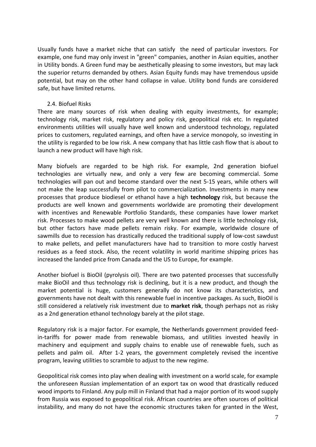Usually funds have a market niche that can satisfy the need of particular investors. For example, one fund may only invest in "green" companies, another in Asian equities, another in Utility bonds. A Green fund may be aesthetically pleasing to some investors, but may lack the superior returns demanded by others. Asian Equity funds may have tremendous upside potential, but may on the other hand collapse in value. Utility bond funds are considered safe, but have limited returns.

#### 2.4. Biofuel Risks

There are many sources of risk when dealing with equity investments, for example; technology risk, market risk, regulatory and policy risk, geopolitical risk etc. In regulated environments utilities will usually have well known and understood technology, regulated prices to customers, regulated earnings, and often have a service monopoly, so investing in the utility is regarded to be low risk. A new company that has little cash flow that is about to launch a new product will have high risk.

Many biofuels are regarded to be high risk. For example, 2nd generation biofuel technologies are virtually new, and only a very few are becoming commercial. Some technologies will pan out and become standard over the next 5‐15 years, while others will not make the leap successfully from pilot to commercialization. Investments in many new processes that produce biodiesel or ethanol have a high **technology** risk, but because the products are well known and governments worldwide are promoting their development with incentives and Renewable Portfolio Standards, these companies have lower market risk. Processes to make wood pellets are very well known and there is little technology risk, but other factors have made pellets remain risky. For example, worldwide closure of sawmills due to recession has drastically reduced the traditional supply of low‐cost sawdust to make pellets, and pellet manufacturers have had to transition to more costly harvest residues as a feed stock. Also, the recent volatility in world maritime shipping prices has increased the landed price from Canada and the US to Europe, for example.

Another biofuel is BioOil (pyrolysis oil). There are two patented processes that successfully make BioOil and thus technology risk is declining, but it is a new product, and though the market potential is huge, customers generally do not know its characteristics, and governments have not dealt with this renewable fuel in incentive packages. As such, BioOil is still considered a relatively risk investment due to **market risk**, though perhaps not as risky as a 2nd generation ethanol technology barely at the pilot stage.

Regulatory risk is a major factor. For example, the Netherlands government provided feed‐ in-tariffs for power made from renewable biomass, and utilities invested heavily in machinery and equipment and supply chains to enable use of renewable fuels, such as pellets and palm oil. After 1‐2 years, the government completely revised the incentive program, leaving utilities to scramble to adjust to the new regime.

Geopolitical risk comes into play when dealing with investment on a world scale, for example the unforeseen Russian implementation of an export tax on wood that drastically reduced wood imports to Finland. Any pulp mill in Finland that had a major portion of its wood supply from Russia was exposed to geopolitical risk. African countries are often sources of political instability, and many do not have the economic structures taken for granted in the West,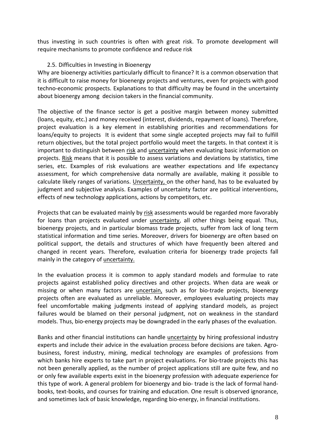thus investing in such countries is often with great risk. To promote development will require mechanisms to promote confidence and reduce risk

# 2.5. Difficulties in Investing in Bioenergy

Why are bioenergy activities particularly difficult to finance? It is a common observation that it is difficult to raise money for bioenergy projects and ventures, even for projects with good techno‐economic prospects. Explanations to that difficulty may be found in the uncertainty about bioenergy among decision takers in the financial community.

The objective of the finance sector is get a positive margin between money submitted (loans, equity, etc.) and money received (interest, dividends, repayment of loans). Therefore, project evaluation is a key element in establishing priorities and recommendations for loans/equity to projects It is evident that some single accepted projects may fail to fulfill return objectives, but the total project portfolio would meet the targets. In that context it is important to distinguish between risk and uncertainty when evaluating basic information on projects. Risk means that it is possible to assess variations and deviations by statistics, time series, etc. Examples of risk evaluations are weather expectations and life expectancy assessment, for which comprehensive data normally are available, making it possible to calculate likely ranges of variations. Uncertainty, on the other hand, has to be evaluated by judgment and subjective analysis. Examples of uncertainty factor are political interventions, effects of new technology applications, actions by competitors, etc.

Projects that can be evaluated mainly by risk assessments would be regarded more favorably for loans than projects evaluated under *uncertainty*, all other things being equal. Thus, bioenergy projects, and in particular biomass trade projects, suffer from lack of long term statistical information and time series. Moreover, drivers for bioenergy are often based on political support, the details and structures of which have frequently been altered and changed in recent years. Therefore, evaluation criteria for bioenergy trade projects fall mainly in the category of uncertainty.

In the evaluation process it is common to apply standard models and formulae to rate projects against established policy directives and other projects. When data are weak or missing or when many factors are uncertain, such as for bio‐trade projects, bioenergy projects often are evaluated as unreliable. Moreover, employees evaluating projects may feel uncomfortable making judgments instead of applying standard models, as project failures would be blamed on their personal judgment, not on weakness in the standard models. Thus, bio‐energy projects may be downgraded in the early phases of the evaluation.

Banks and other financial institutions can handle uncertainty by hiring professional industry experts and include their advice in the evaluation process before decisions are taken. Agrobusiness, forest industry, mining, medical technology are examples of professions from which banks hire experts to take part in project evaluations. For bio-trade projects this has not been generally applied, as the number of project applications still are quite few, and no or only few available experts exist in the bioenergy profession with adequate experience for this type of work. A general problem for bioenergy and bio-trade is the lack of formal handbooks, text‐books, and courses for training and education. One result is observed ignorance, and sometimes lack of basic knowledge, regarding bio‐energy, in financial institutions.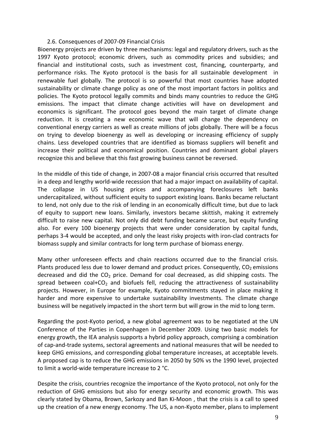#### 2.6. Consequences of 2007‐09 Financial Crisis

Bioenergy projects are driven by three mechanisms: legal and regulatory drivers, such as the 1997 Kyoto protocol; economic drivers, such as commodity prices and subsidies; and financial and institutional costs, such as investment cost, financing, counterparty, and performance risks. The Kyoto protocol is the basis for all sustainable development in renewable fuel globally. The protocol is so powerful that most countries have adopted sustainability or climate change policy as one of the most important factors in politics and policies. The Kyoto protocol legally commits and binds many countries to reduce the GHG emissions. The impact that climate change activities will have on development and economics is significant. The protocol goes beyond the main target of climate change reduction. It is creating a new economic wave that will change the dependency on conventional energy carriers as well as create millions of jobs globally. There will be a focus on trying to develop bioenergy as well as developing or increasing efficiency of supply chains. Less developed countries that are identified as biomass suppliers will benefit and increase their political and economical position. Countries and dominant global players recognize this and believe that this fast growing business cannot be reversed.

In the middle of this tide of change, in 2007‐08 a major financial crisis occurred that resulted in a deep and lengthy world‐wide recession that had a major impact on availability of capital. The collapse in US housing prices and accompanying foreclosures left banks undercapitalized, without sufficient equity to support existing loans. Banks became reluctant to lend, not only due to the risk of lending in an economically difficult time, but due to lack of equity to support new loans. Similarly, investors became skittish, making it extremely difficult to raise new capital. Not only did debt funding became scarce, but equity funding also. For every 100 bioenergy projects that were under consideration by capital funds, perhaps 3‐4 would be accepted, and only the least risky projects with iron‐clad contracts for biomass supply and similar contracts for long term purchase of biomass energy.

Many other unforeseen effects and chain reactions occurred due to the financial crisis. Plants produced less due to lower demand and product prices. Consequently,  $CO<sub>2</sub>$  emissions decreased and did the  $CO<sub>2</sub>$  price. Demand for coal decreased, as did shipping costs. The spread between coal+CO<sub>2</sub> and biofuels fell, reducing the attractiveness of sustainability projects. However, in Europe for example, Kyoto commitments stayed in place making it harder and more expensive to undertake sustainability investments. The climate change business will be negatively impacted in the short term but will grow in the mid to long term.

Regarding the post‐Kyoto period, a new global agreement was to be negotiated at the UN Conference of the Parties in Copenhagen in December 2009. Using two basic models for energy growth, the IEA analysis supports a hybrid policy approach, comprising a combination of cap‐and‐trade systems, sectoral agreements and national measures that will be needed to keep GHG emissions, and corresponding global temperature increases, at acceptable levels. A proposed cap is to reduce the GHG emissions in 2050 by 50% vs the 1990 level, projected to limit a world‐wide temperature increase to 2 °C.

Despite the crisis, countries recognize the importance of the Kyoto protocol, not only for the reduction of GHG emissions but also for energy security and economic growth. This was clearly stated by Obama, Brown, Sarkozy and Ban Ki‐Moon , that the crisis is a call to speed up the creation of a new energy economy. The US, a non‐Kyoto member, plans to implement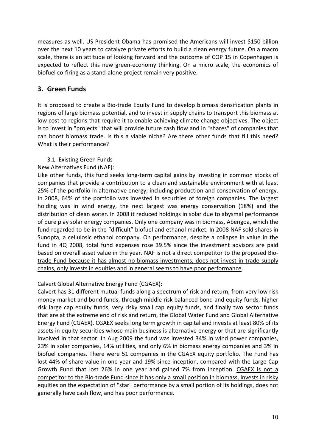measures as well. US President Obama has promised the Americans will invest \$150 billion over the next 10 years to catalyze private efforts to build a clean energy future. On a macro scale, there is an attitude of looking forward and the outcome of COP 15 in Copenhagen is expected to reflect this new green‐economy thinking. On a micro scale, the economics of biofuel co‐firing as a stand‐alone project remain very positive.

# **3. Green Funds**

It is proposed to create a Bio‐trade Equity Fund to develop biomass densification plants in regions of large biomass potential, and to invest in supply chains to transport this biomass at low cost to regions that require it to enable achieving climate change objectives. The object is to invest in "projects" that will provide future cash flow and in "shares" of companies that can boost biomass trade. Is this a viable niche? Are there other funds that fill this need? What is their performance?

# 3.1. Existing Green Funds

New Alternatives Fund (NAF):

Like other funds, this fund seeks long-term capital gains by investing in common stocks of companies that provide a contribution to a clean and sustainable environment with at least 25% of the portfolio in alternative energy, including production and conservation of energy. In 2008, 64% of the portfolio was invested in securities of foreign companies. The largest holding was in wind energy, the next largest was energy conservation (18%) and the distribution of clean water. In 2008 it reduced holdings in solar due to abysmal performance of pure play solar energy companies. Only one company was in biomass, Abengoa, which the fund regarded to be in the "difficult" biofuel and ethanol market. In 2008 NAF sold shares in Sunopta, a cellulosic ethanol company. On performance, despite a collapse in value in the fund in 4Q 2008, total fund expenses rose 39.5% since the investment advisors are paid based on overall asset value in the year. NAF is not a direct competitor to the proposed Bio‐ trade Fund because it has almost no biomass investments, does not invest in trade supply chains, only invests in equities and in general seems to have poor performance.

# Calvert Global Alternative Energy Fund (CGAEX):

Calvert has 31 different mutual funds along a spectrum of risk and return, from very low risk money market and bond funds, through middle risk balanced bond and equity funds, higher risk large cap equity funds, very risky small cap equity funds, and finally two sector funds that are at the extreme end of risk and return, the Global Water Fund and Global Alternative Energy Fund (CGAEX). CGAEX seeks long term growth in capital and invests at least 80% of its assets in equity securities whose main business is alternative energy or that are significantly involved in that sector. In Aug 2009 the fund was invested 34% in wind power companies, 23% in solar companies, 14% utilities, and only 6% in biomass energy companies and 3% in biofuel companies. There were 51 companies in the CGAEX equity portfolio. The Fund has lost 44% of share value in one year and 19% since inception, compared with the Large Cap Growth Fund that lost 26% in one year and gained 7% from inception. CGAEX is not a competitor to the Bio-trade Fund since it has only a small position in biomass, invests in risky equities on the expectation of "star" performance by a small portion of its holdings, does not generally have cash flow, and has poor performance.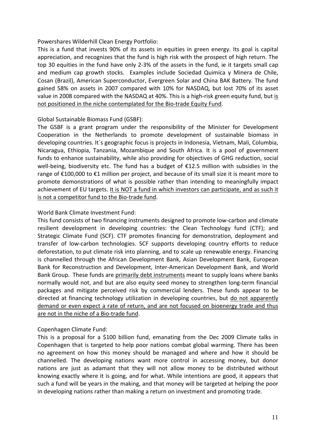Powershares Wilderhill Clean Energy Portfolio:

This is a fund that invests 90% of its assets in equities in green energy. Its goal is capital appreciation, and recognizes that the fund is high risk with the prospect of high return. The top 30 equities in the fund have only 2‐3% of the assets in the fund, ie it targets small cap and medium cap growth stocks. Examples include Sociedad Quimica y Minera de Chile, Cosan (Brazil), American Superconductor, Evergreen Solar and China BAK Battery. The fund gained 58% on assets in 2007 compared with 10% for NASDAQ, but lost 70% of its asset value in 2008 compared with the NASDAQ at 40%. This is a high-risk green equity fund, but is not positioned in the niche contemplated for the Bio‐trade Equity Fund.

# Global Sustainable Biomass Fund (GSBF):

The GSBF is a grant program under the responsibility of the Minister for Development Cooperation in the Netherlands to promote development of sustainable biomass in developing countries. It´s geographic focus is projects in Indonesia, Vietnam, Mali, Columbia, Nicaragua, Ethiopia, Tanzania, Mozambique and South Africa. It is a pool of government funds to enhance sustainability, while also providing for objectives of GHG reduction, social well-being, biodiversity etc. The fund has a budget of €12.5 million with subsidies in the range of  $\epsilon$ 100,000 to  $\epsilon$ 1 million per project, and because of its small size it is meant more to promote demonstrations of what is possible rather than intending to meaningfully impact achievement of EU targets. It is NOT a fund in which investors can participate, and as such it is not a competitor fund to the Bio‐trade fund.

# World Bank Climate Investment Fund:

This fund consists of two financing instruments designed to promote low‐carbon and climate resilient development in developing countries: the Clean Technology fund (CTF); and Strategic Climate Fund (SCF). CTF promotes financing for demonstration, deployment and transfer of low‐carbon technologies. SCF supports developing country efforts to reduce deforestation, to put climate risk into planning, and to scale up renewable energy. Financing is channelled through the African Development Bank, Asian Development Bank, European Bank for Reconstruction and Development, Inter‐American Development Bank, and World Bank Group. These funds are primarily debt instruments meant to supply loans where banks normally would not, and but are also equity seed money to strengthen long-term financial packages and mitigate perceived risk by commercial lenders. These funds appear to be directed at financing technology utilization in developing countries, but do not apparently demand or even expect a rate of return, and are not focused on bioenergy trade and thus are not in the niche of a Bio-trade fund.

# Copenhagen Climate Fund:

This is a proposal for a \$100 billion fund, emanating from the Dec 2009 Climate talks in Copenhagen that is targeted to help poor nations combat global warming. There has been no agreement on how this money should be managed and where and how it should be channelled. The developing nations want more control in accessing money, but donor nations are just as adamant that they will not allow money to be distributed without knowing exactly where it is going, and for what. While intentions are good, it appears that such a fund will be years in the making, and that money will be targeted at helping the poor in developing nations rather than making a return on investment and promoting trade.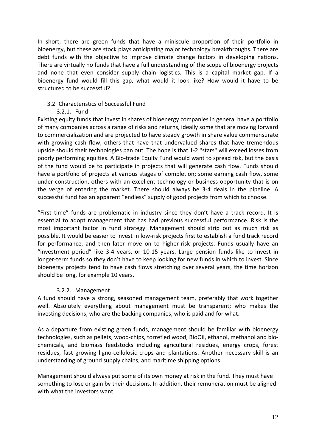In short, there are green funds that have a miniscule proportion of their portfolio in bioenergy, but these are stock plays anticipating major technology breakthroughs. There are debt funds with the objective to improve climate change factors in developing nations. There are virtually no funds that have a full understanding of the scope of bioenergy projects and none that even consider supply chain logistics. This is a capital market gap. If a bioenergy fund would fill this gap, what would it look like? How would it have to be structured to be successful?

# 3.2. Characteristics of Successful Fund

3.2.1. Fund

Existing equity funds that invest in shares of bioenergy companies in general have a portfolio of many companies across a range of risks and returns, ideally some that are moving forward to commercialization and are projected to have steady growth in share value commensurate with growing cash flow, others that have that undervalued shares that have tremendous upside should their technologies pan out. The hope is that 1‐2 "stars" will exceed losses from poorly performing equities. A Bio‐trade Equity Fund would want to spread risk, but the basis of the fund would be to participate in projects that will generate cash flow. Funds should have a portfolio of projects at various stages of completion; some earning cash flow, some under construction, others with an excellent technology or business opportunity that is on the verge of entering the market. There should always be 3‐4 deals in the pipeline. A successful fund has an apparent "endless" supply of good projects from which to choose.

"First time" funds are problematic in industry since they don't have a track record. It is essential to adopt management that has had previous successful performance. Risk is the most important factor in fund strategy. Management should strip out as much risk as possible. It would be easier to invest in low‐risk projects first to establish a fund track record for performance, and then later move on to higher-risk projects. Funds usually have an "investment period" like 3‐4 years, or 10‐15 years. Large pension funds like to invest in longer-term funds so they don't have to keep looking for new funds in which to invest. Since bioenergy projects tend to have cash flows stretching over several years, the time horizon should be long, for example 10 years.

# 3.2.2. Management

A fund should have a strong, seasoned management team, preferably that work together well. Absolutely everything about management must be transparent; who makes the investing decisions, who are the backing companies, who is paid and for what.

As a departure from existing green funds, management should be familiar with bioenergy technologies, such as pellets, wood‐chips, torrefied wood, BioOil, ethanol, methanol and bio‐ chemicals, and biomass feedstocks including agricultural residues, energy crops, forest residues, fast growing ligno‐cellulosic crops and plantations. Another necessary skill is an understanding of ground supply chains, and maritime shipping options.

Management should always put some of its own money at risk in the fund. They must have something to lose or gain by their decisions. In addition, their remuneration must be aligned with what the investors want.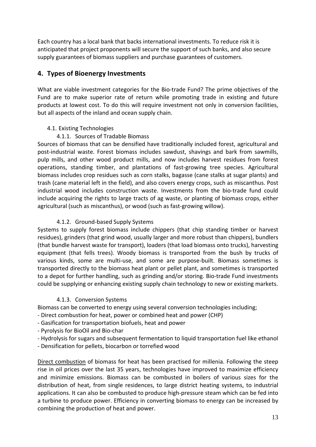Each country has a local bank that backs international investments. To reduce risk it is anticipated that project proponents will secure the support of such banks, and also secure supply guarantees of biomass suppliers and purchase guarantees of customers.

# **4. Types of Bioenergy Investments**

What are viable investment categories for the Bio-trade Fund? The prime objectives of the Fund are to make superior rate of return while promoting trade in existing and future products at lowest cost. To do this will require investment not only in conversion facilities, but all aspects of the inland and ocean supply chain.

# 4.1. Existing Technologies

# 4.1.1. Sources of Tradable Biomass

Sources of biomass that can be densified have traditionally included forest, agricultural and post-industrial waste. Forest biomass includes sawdust, shavings and bark from sawmills, pulp mills, and other wood product mills, and now includes harvest residues from forest operations, standing timber, and plantations of fast‐growing tree species. Agricultural biomass includes crop residues such as corn stalks, bagasse (cane stalks at sugar plants) and trash (cane material left in the field), and also covers energy crops, such as miscanthus. Post industrial wood includes construction waste. Investments from the bio-trade fund could include acquiring the rights to large tracts of ag waste, or planting of biomass crops, either agricultural (such as miscanthus), or wood (such as fast‐growing willow).

# 4.1.2. Ground‐based Supply Systems

Systems to supply forest biomass include chippers (that chip standing timber or harvest residues), grinders (that grind wood, usually larger and more robust than chippers), bundlers (that bundle harvest waste for transport), loaders (that load biomass onto trucks), harvesting equipment (that fells trees). Woody biomass is transported from the bush by trucks of various kinds, some are multi‐use, and some are purpose‐built. Biomass sometimes is transported directly to the biomass heat plant or pellet plant, and sometimes is transported to a depot for further handling, such as grinding and/or storing. Bio-trade Fund investments could be supplying or enhancing existing supply chain technology to new or existing markets.

# 4.1.3. Conversion Systems

Biomass can be converted to energy using several conversion technologies including;

- ‐ Direct combustion for heat, power or combined heat and power (CHP)
- ‐ Gasification for transportation biofuels, heat and power
- ‐ Pyrolysis for BioOil and Bio‐char
- ‐ Hydrolysis for sugars and subsequent fermentation to liquid transportation fuel like ethanol
- ‐ Densification for pellets, biocarbon or torrefied wood

Direct combustion of biomass for heat has been practised for millenia. Following the steep rise in oil prices over the last 35 years, technologies have improved to maximize efficiency and minimize emissions. Biomass can be combusted in boilers of various sizes for the distribution of heat, from single residences, to large district heating systems, to industrial applications. It can also be combusted to produce high‐pressure steam which can be fed into a turbine to produce power. Efficiency in converting biomass to energy can be increased by combining the production of heat and power.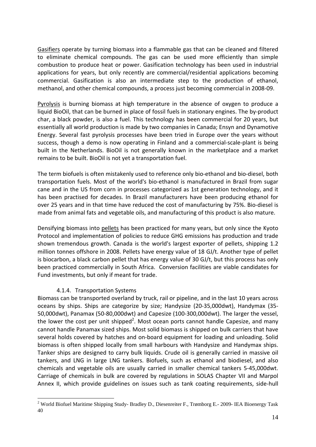Gasifiers operate by turning biomass into a flammable gas that can be cleaned and filtered to eliminate chemical compounds. The gas can be used more efficiently than simple combustion to produce heat or power. Gasification technology has been used in industrial applications for years, but only recently are commercial/residential applications becoming commercial. Gasification is also an intermediate step to the production of ethanol, methanol, and other chemical compounds, a process just becoming commercial in 2008‐09.

Pyrolysis is burning biomass at high temperature in the absence of oxygen to produce a liquid BioOil, that can be burned in place of fossil fuels in stationary engines. The by‐product char, a black powder, is also a fuel. This technology has been commercial for 20 years, but essentially all world production is made by two companies in Canada; Ensyn and Dynamotive Energy. Several fast pyrolysis processes have been tried in Europe over the years without success, though a demo is now operating in Finland and a commercial-scale-plant is being built in the Netherlands. BioOil is not generally known in the marketplace and a market remains to be built. BioOil is not yet a transportation fuel.

The term biofuels is often mistakenly used to reference only bio‐ethanol and bio‐diesel, both transportation fuels. Most of the world's bio‐ethanol is manufactured in Brazil from sugar cane and in the US from corn in processes categorized as 1st generation technology, and it has been practised for decades. In Brazil manufacturers have been producing ethanol for over 25 years and in that time have reduced the cost of manufacturing by 75%. Bio‐diesel is made from animal fats and vegetable oils, and manufacturing of this product is also mature.

Densifying biomass into pellets has been practiced for many years, but only since the Kyoto Protocol and implementation of policies to reduce GHG emissions has production and trade shown tremendous growth. Canada is the world's largest exporter of pellets, shipping 1.2 million tonnes offshore in 2008. Pellets have energy value of 18 GJ/t. Another type of pellet is biocarbon, a black carbon pellet that has energy value of 30 GJ/t, but this process has only been practiced commercially in South Africa. Conversion facilities are viable candidates for Fund investments, but only if meant for trade.

# 4.1.4. Transportation Systems

<u>.</u>

Biomass can be transported overland by truck, rail or pipeline, and in the last 10 years across oceans by ships. Ships are categorize by size; Handysize (20‐35,000dwt), Handymax (35‐ 50,000dwt), Panamax (50‐80,000dwt) and Capesize (100‐300,000dwt). The larger the vessel, the lower the cost per unit shipped<sup>2</sup>. Most ocean ports cannot handle Capesize, and many cannot handle Panamax sized ships. Most solid biomass is shipped on bulk carriers that have several holds covered by hatches and on‐board equipment for loading and unloading. Solid biomass is often shipped locally from small harbours with Handysize and Handymax ships. Tanker ships are designed to carry bulk liquids. Crude oil is generally carried in massive oil tankers, and LNG in large LNG tankers. Biofuels, such as ethanol and biodiesel, and also chemicals and vegetable oils are usually carried in smaller chemical tankers 5‐45,000dwt. Carriage of chemicals in bulk are covered by regulations in SOLAS Chapter VII and Marpol Annex II, which provide guidelines on issues such as tank coating requirements, side‐hull

<sup>&</sup>lt;sup>2</sup> World Biofuel Maritime Shipping Study-Bradley D., Diesenreiter F., Trømborg E.- 2009- IEA Bioenergy Task 40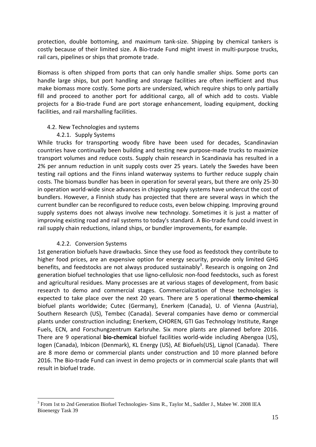protection, double bottoming, and maximum tank‐size. Shipping by chemical tankers is costly because of their limited size. A Bio-trade Fund might invest in multi-purpose trucks, rail cars, pipelines or ships that promote trade.

Biomass is often shipped from ports that can only handle smaller ships. Some ports can handle large ships, but port handling and storage facilities are often inefficient and thus make biomass more costly. Some ports are undersized, which require ships to only partially fill and proceed to another port for additional cargo, all of which add to costs. Viable projects for a Bio‐trade Fund are port storage enhancement, loading equipment, docking facilities, and rail marshalling facilities.

#### 4.2. New Technologies and systems

# 4.2.1. Supply Systems

While trucks for transporting woody fibre have been used for decades, Scandinavian countries have continually been building and testing new purpose‐made trucks to maximize transport volumes and reduce costs. Supply chain research in Scandinavia has resulted in a 2% per annum reduction in unit supply costs over 25 years. Lately the Swedes have been testing rail options and the Finns inland waterway systems to further reduce supply chain costs. The biomass bundler has been in operation for several years, but there are only 25‐30 in operation world‐wide since advances in chipping supply systems have undercut the cost of bundlers. However, a Finnish study has projected that there are several ways in which the current bundler can be reconfigured to reduce costs, even below chipping. Improving ground supply systems does not always involve new technology. Sometimes it is just a matter of improving existing road and rail systems to today's standard. A Bio‐trade fund could invest in rail supply chain reductions, inland ships, or bundler improvements, for example.

# 4.2.2. Conversion Systems

<u>.</u>

1st generation biofuels have drawbacks. Since they use food as feedstock they contribute to higher food prices, are an expensive option for energy security, provide only limited GHG benefits, and feedstocks are not always produced sustainably<sup>3</sup>. Research is ongoing on 2nd generation biofuel technologies that use ligno‐cellulosic non‐food feedstocks, such as forest and agricultural residues. Many processes are at various stages of development, from basic research to demo and commercial stages. Commercialization of these technologies is expected to take place over the next 20 years. There are 5 operational **thermo‐chemical** biofuel plants worldwide; Cutec (Germany), Enerkem (Canada), U. of Vienna (Austria), Southern Research (US), Tembec (Canada). Several companies have demo or commercial plants under construction including; Enerkem, CHOREN, GTI Gas Technology Institute, Range Fuels, ECN, and Forschungzentrum Karlsruhe. Six more plants are planned before 2016. There are 9 operational **bio‐chemical** biofuel facilities world‐wide including Abengoa (US), Iogen (Canada), Inbicon (Denmark), KL Energy (US), AE Biofuels(US), Lignol (Canada). There are 8 more demo or commercial plants under construction and 10 more planned before 2016. The Bio‐trade Fund can invest in demo projects or in commercial scale plants that will result in biofuel trade.

<sup>&</sup>lt;sup>3</sup> From 1st to 2nd Generation Biofuel Technologies- Sims R., Taylor M., Saddler J., Mabee W. 2008 IEA Bioenergy Task 39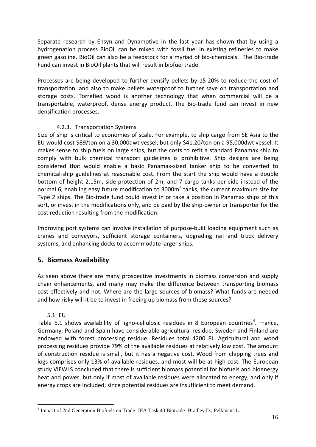Separate research by Ensyn and Dynamotive in the last year has shown that by using a hydrogenation process BioOil can be mixed with fossil fuel in existing refineries to make green gasoline. BioOil can also be a feedstock for a myriad of bio‐chemicals. The Bio‐trade Fund can invest in BioOil plants that will result in biofuel trade.

Processes are being developed to further densify pellets by 15‐20% to reduce the cost of transportation, and also to make pellets waterproof to further save on transportation and storage costs. Torrefied wood is another technology that when commercial will be a transportable, waterproof, dense energy product. The Bio‐trade fund can invest in new densification processes.

# 4.2.3. Transportation Systems

Size of ship is critical to economies of scale. For example, to ship cargo from SE Asia to the EU would cost \$89/ton on a 30,000dwt vessel, but only \$41.20/ton on a 95,000dwt vessel. It makes sense to ship fuels on large ships, but the costs to refit a standard Panamax ship to comply with bulk chemical transport guidelines is prohibitive. Ship designs are being considered that would enable a basic Panamax‐sized tanker ship to be converted to chemical‐ship guidelines at reasonable cost. From the start the ship would have a double bottom of height 2.15m, side‐protection of 2m, and 7 cargo tanks per side instead of the normal 6, enabling easy future modification to  $3000<sup>3</sup>$  tanks, the current maximum size for Type 2 ships. The Bio‐trade fund could invest in or take a position in Panamax ships of this sort, or invest in the modifications only, and be paid by the ship-owner or transporter for the cost reduction resulting from the modification.

Improving port systems can involve installation of purpose-built loading equipment such as cranes and conveyors, sufficient storage containers, upgrading rail and truck delivery systems, and enhancing docks to accommodate larger ships.

# **5. Biomass Availability**

As seen above there are many prospective investments in biomass conversion and supply chain enhancements, and many may make the difference between transporting biomass cost effectively and not. Where are the large sources of biomass? What funds are needed and how risky will it be to invest in freeing up biomass from these sources?

# 5.1. EU

1

Table 5.1 shows availability of ligno-cellulosic residues in 8 European countries<sup>4</sup>. France, Germany, Poland and Spain have considerable agricultural residue, Sweden and Finland are endowed with forest processing residue. Residues total 4200 PJ. Agricultural and wood processing residues provide 79% of the available residues at relatively low cost. The amount of construction residue is small, but it has a negative cost. Wood from chipping trees and logs comprises only 13% of available residues, and most will be at high cost. The European study VIEWLS concluded that there is sufficient biomass potential for biofuels and bioenergy heat and power, but only if most of available residues were allocated to energy, and only if energy crops are included, since potential residues are insufficient to meet demand.

<sup>4</sup> Impact of 2nd Generation Biofuels on Trade- IEA Task 40 Biotrade- Bradley D., Pelkmans L.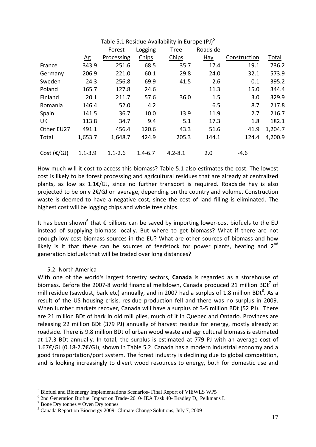|                      |                 |             |             | Table 5.1 Residue Availability in Europe (PJ) <sup>5</sup> |                  |              |         |
|----------------------|-----------------|-------------|-------------|------------------------------------------------------------|------------------|--------------|---------|
|                      |                 | Forest      | Logging     | <b>Tree</b>                                                | Roadside         |              |         |
|                      | $\overline{AB}$ | Processing  | Chips       | Chips                                                      | $\overline{Hay}$ | Construction | Total   |
| France               | 343.9           | 251.6       | 68.5        | 35.7                                                       | 17.4             | 19.1         | 736.2   |
| Germany              | 206.9           | 221.0       | 60.1        | 29.8                                                       | 24.0             | 32.1         | 573.9   |
| Sweden               | 24.3            | 256.8       | 69.9        | 41.5                                                       | 2.6              | 0.1          | 395.2   |
| Poland               | 165.7           | 127.8       | 24.6        |                                                            | 11.3             | 15.0         | 344.4   |
| Finland              | 20.1            | 211.7       | 57.6        | 36.0                                                       | 1.5              | 3.0          | 329.9   |
| Romania              | 146.4           | 52.0        | 4.2         |                                                            | 6.5              | 8.7          | 217.8   |
| Spain                | 141.5           | 36.7        | 10.0        | 13.9                                                       | 11.9             | 2.7          | 216.7   |
| UK                   | 113.8           | 34.7        | 9.4         | 5.1                                                        | 17.3             | 1.8          | 182.1   |
| Other EU27           | 491.1           | 456.4       | 120.6       | 43.3                                                       | 51.6             | 41.9         | 1,204.7 |
| Total                | 1,653.7         | 1,648.7     | 424.9       | 205.3                                                      | 144.1            | 124.4        | 4,200.9 |
| Cost $(\epsilon/GJ)$ | $1.1 - 3.9$     | $1.1 - 2.6$ | $1.4 - 6.7$ | $4.2 - 8.1$                                                | 2.0              | $-4.6$       |         |

How much will it cost to access this biomass? Table 5.1 also estimates the cost. The lowest cost is likely to be forest processing and agricultural residues that are already at centralized plants, as low as 1.1€/GJ, since no further transport is required. Roadside hay is also projected to be only 2€/GJ on average, depending on the country and volume. Construction waste is deemed to have a negative cost, since the cost of land filling is eliminated. The highest cost will be logging chips and whole tree chips.

It has been shown<sup>6</sup> that € billions can be saved by importing lower-cost biofuels to the EU instead of supplying biomass locally. But where to get biomass? What if there are not enough low-cost biomass sources in the EU? What are other sources of biomass and how likely is it that these can be sources of feedstock for power plants, heating and  $2^{nd}$ generation biofuels that will be traded over long distances?

# 5.2. North America

With one of the world's largest forestry sectors, **Canada** is regarded as a storehouse of biomass. Before the 2007-8 world financial meltdown, Canada produced 21 million BDt<sup>7</sup> of mill residue (sawdust, bark etc) annually, and in 2007 had a surplus of 1.8 million BDt<sup>8</sup>. As a result of the US housing crisis, residue production fell and there was no surplus in 2009. When lumber markets recover, Canada will have a surplus of 3-5 million BDt (52 PJ). There are 21 million BDt of bark in old mill piles, much of it in Quebec and Ontario. Provinces are releasing 22 million BDt (379 PJ) annually of harvest residue for energy, mostly already at roadside. There is 9.8 million BDt of urban wood waste and agricultural biomass is estimated at 17.3 BDt annually. In total, the surplus is estimated at 779 PJ with an average cost of 1.67€/GJ (0.18‐2.7€/GJ), shown in Table 5.2. Canada has a modern industrial economy and a good transportation/port system. The forest industry is declining due to global competition, and is looking increasingly to divert wood resources to energy, both for domestic use and

1

<sup>&</sup>lt;sup>5</sup> Biofuel and Bioenergy Implementations Scenarios- Final Report of VIEWLS WP5

<sup>6</sup> 2nd Generation Biofuel Impact on Trade- 2010- IEA Task 40- Bradley D,, Pelkmans L.

 $7$  Bone Dry tonnes = Oven Dry tonnes

<sup>8</sup> Canada Report on Bioenergy 2009- Climate Change Solutions, July 7, 2009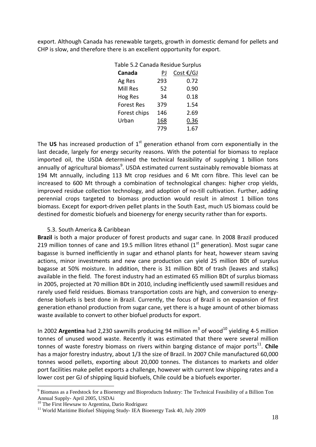export. Although Canada has renewable targets, growth in domestic demand for pellets and CHP is slow, and therefore there is an excellent opportunity for export.

| Table 5.2 Canada Residue Surplus |     |           |
|----------------------------------|-----|-----------|
| Canada                           | PJ  | Cost €/GJ |
| Ag Res                           | 293 | 0.72      |
| Mill Res                         | 52  | 0.90      |
| Hog Res                          | 34  | 0.18      |
| <b>Forest Res</b>                | 379 | 1.54      |
| Forest chips                     | 146 | 2.69      |
| Urban                            | 168 | 0.36      |
|                                  | 779 | 1.67      |

The US has increased production of 1<sup>st</sup> generation ethanol from corn exponentially in the last decade, largely for energy security reasons. With the potential for biomass to replace imported oil, the USDA determined the technical feasibility of supplying 1 billion tons annually of agricultural biomass<sup>9</sup>. USDA estimated current sustainably removable biomass at 194 Mt annually, including 113 Mt crop residues and 6 Mt corn fibre. This level can be increased to 600 Mt through a combination of technological changes: higher crop yields, improved residue collection technology, and adoption of no-till cultivation. Further, adding perennial crops targeted to biomass production would result in almost 1 billion tons biomass. Except for export‐driven pellet plants in the South East, much US biomass could be destined for domestic biofuels and bioenergy for energy security rather than for exports.

# 5.3. South America & Caribbean

**Brazil** is both a major producer of forest products and sugar cane. In 2008 Brazil produced 219 million tonnes of cane and 19.5 million litres ethanol  $(1<sup>st</sup>$  generation). Most sugar cane bagasse is burned inefficiently in sugar and ethanol plants for heat, however steam saving actions, minor investments and new cane production can yield 25 million BDt of surplus bagasse at 50% moisture. In addition, there is 31 million BDt of trash (leaves and stalks) available in the field. The forest industry had an estimated 65 million BDt of surplus biomass in 2005, projected at 70 million BDt in 2010, including inefficiently used sawmill residues and rarely used field residues. Biomass transportation costs are high, and conversion to energy‐ dense biofuels is best done in Brazil. Currently, the focus of Brazil is on expansion of first generation ethanol production from sugar cane, yet there is a huge amount of other biomass waste available to convert to other biofuel products for export.

In 2002 **Argentina** had 2,230 sawmills producing 94 million  $m^3$  of wood<sup>10</sup> vielding 4-5 million tonnes of unused wood waste. Recently it was estimated that there were several million tonnes of waste forestry biomass on rivers within barging distance of major ports<sup>11</sup>. Chile has a major forestry industry, about 1/3 the size of Brazil. In 2007 Chile manufactured 60,000 tonnes wood pellets, exporting about 20,000 tonnes. The distances to markets and older port facilities make pellet exports a challenge, however with current low shipping rates and a lower cost per GJ of shipping liquid biofuels, Chile could be a biofuels exporter.

1

<sup>&</sup>lt;sup>9</sup> Biomass as a Feedstock for a Bioenergy and Bioproducts Industry: The Technical Feasibility of a Billion Ton Annual Supply- April 2005, USDAi

<sup>&</sup>lt;sup>10</sup> The First Hewsaw to Argentina, Dario Rodriguez

<sup>&</sup>lt;sup>11</sup> World Maritime Biofuel Shipping Study- IEA Bioenergy Task 40, July 2009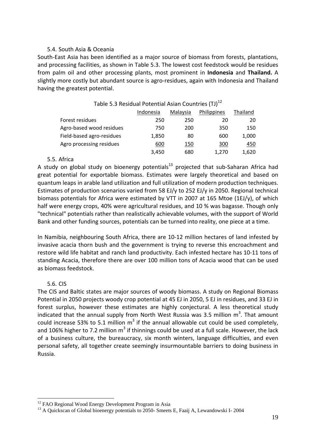#### 5.4. South Asia & Oceania

South‐East Asia has been identified as a major source of biomass from forests, plantations, and processing facilities, as shown in Table 5.3. The lowest cost feedstock would be residues from palm oil and other processing plants, most prominent in **Indonesia** and **Thailand.** A slightly more costly but abundant source is agro‐residues, again with Indonesia and Thailand having the greatest potential.

| Table 5.3 Residual Potential Asian Countries (TJ) <sup>12</sup> |           |          |             |          |  |  |  |
|-----------------------------------------------------------------|-----------|----------|-------------|----------|--|--|--|
|                                                                 | Indonesia | Malaysia | Philippines | Thailand |  |  |  |
| Forest residues                                                 | 250       | 250      | 20          | 20       |  |  |  |
| Agro-based wood residues                                        | 750       | 200      | 350         | 150      |  |  |  |
| Field-based agro-residues                                       | 1,850     | 80       | 600         | 1,000    |  |  |  |
| Agro processing residues                                        | 600       | 150      | 300         | 450      |  |  |  |
|                                                                 | 3,450     | 680      | 1.270       | 1,620    |  |  |  |

#### 5.5. Africa

A study on global study on bioenergy potentials<sup>13</sup> projected that sub-Saharan Africa had great potential for exportable biomass. Estimates were largely theoretical and based on quantum leaps in arable land utilization and full utilization of modern production techniques. Estimates of production scenarios varied from 58 EJ/y to 252 EJ/y in 2050. Regional technical biomass potentials for Africa were estimated by VTT in 2007 at 165 Mtoe (1EJ/y), of which half were energy crops, 40% were agricultural residues, and 10 % was bagasse. Though only "technical" potentials rather than realistically achievable volumes, with the support of World Bank and other funding sources, potentials can be turned into reality, one piece at a time.

In Namibia, neighbouring South Africa, there are 10‐12 million hectares of land infested by invasive acacia thorn bush and the government is trying to reverse this encroachment and restore wild life habitat and ranch land productivity. Each infested hectare has 10‐11 tons of standing Acacia, therefore there are over 100 million tons of Acacia wood that can be used as biomass feedstock.

# 5.6. CIS

<u>.</u>

The CIS and Baltic states are major sources of woody biomass. A study on Regional Biomass Potential in 2050 projects woody crop potential at 45 EJ in 2050, 5 EJ in residues, and 33 EJ in forest surplus, however these estimates are highly conjectural. A less theoretical study indicated that the annual supply from North West Russia was 3.5 million  $m^3$ . That amount could increase 53% to 5.1 million  $m^3$  if the annual allowable cut could be used completely, and 106% higher to 7.2 million  $m^3$  if thinnings could be used at a full scale. However, the lack of a business culture, the bureaucracy, six month winters, language difficulties, and even personal safety, all together create seemingly insurmountable barriers to doing business in Russia.

<sup>&</sup>lt;sup>12</sup> FAO Regional Wood Energy Development Program in Asia

<sup>&</sup>lt;sup>13</sup> A Quickscan of Global bioenergy potentials to 2050- Smeets E, Faaij A, Lewandowski I-2004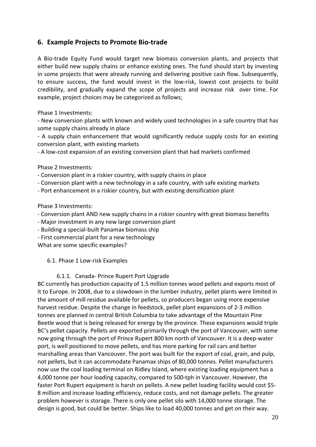# **6. Example Projects to Promote Bio‐trade**

A Bio‐trade Equity Fund would target new biomass conversion plants, and projects that either build new supply chains or enhance existing ones. The fund should start by investing in some projects that were already running and delivering positive cash flow. Subsequently, to ensure success, the fund would invest in the low‐risk, lowest cost projects to build credibility, and gradually expand the scope of projects and increase risk over time. For example, project choices may be categorized as follows;

Phase 1 Investments:

‐ New conversion plants with known and widely used technologies in a safe country that has some supply chains already in place

‐ A supply chain enhancement that would significantly reduce supply costs for an existing conversion plant, with existing markets

‐ A low‐cost expansion of an existing conversion plant that had markets confirmed

Phase 2 Investments:

- ‐ Conversion plant in a riskier country, with supply chains in place
- ‐ Conversion plant with a new technology in a safe country, with safe existing markets
- ‐ Port enhancement in a riskier country, but with existing densification plant

Phase 3 Investments:

- ‐ Conversion plant AND new supply chains in a riskier country with great biomass benefits
- ‐ Major investment in any new large conversion plant
- ‐ Building a special‐built Panamax biomass ship
- ‐ First commercial plant for a new technology

What are some specific examples?

6.1. Phase 1 Low‐risk Examples

# 6.1.1. Canada‐ Prince Rupert Port Upgrade

BC currently has production capacity of 1.5 million tonnes wood pellets and exports most of it to Europe. In 2008, due to a slowdown in the lumber industry, pellet plants were limited in the amount of mill residue available for pellets, so producers began using more expensive harvest residue. Despite the change in feedstock, pellet plant expansions of 2‐3 million tonnes are planned in central British Columbia to take advantage of the Mountain Pine Beetle wood that is being released for energy by the province. These expansions would triple BC's pellet capacity. Pellets are exported primarily through the port of Vancouver, with some now going through the port of Prince Rupert 800 km north of Vancouver. It is a deep‐water port, is well positioned to move pellets, and has more parking for rail cars and better marshalling areas than Vancouver. The port was built for the export of coal, grain, and pulp, not pellets, but it can accommodate Panamax ships of 80,000 tonnes. Pellet manufacturers now use the coal loading terminal on Ridley Island, where existing loading equipment has a 4,000 tonne per hour loading capacity, compared to 500‐tph in Vancouver. However, the faster Port Rupert equipment is harsh on pellets. A new pellet loading facility would cost \$5-8 million and increase loading efficiency, reduce costs, and not damage pellets. The greater problem however is storage. There is only one pellet silo with 14,000 tonne storage. The design is good, but could be better. Ships like to load 40,000 tonnes and get on their way.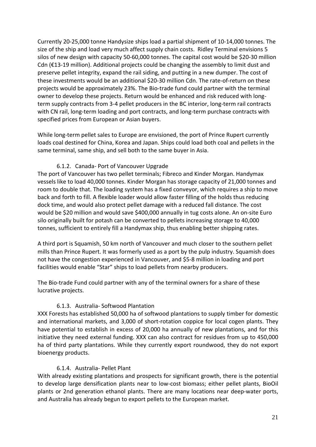Currently 20‐25,000 tonne Handysize ships load a partial shipment of 10‐14,000 tonnes. The size of the ship and load very much affect supply chain costs. Ridley Terminal envisions 5 silos of new design with capacity 50‐60,000 tonnes. The capital cost would be \$20‐30 million Cdn (€13‐19 million). Additional projects could be changing the assembly to limit dust and preserve pellet integrity, expand the rail siding, and putting in a new dumper. The cost of these investments would be an additional \$20‐30 million Cdn. The rate‐of‐return on these projects would be approximately 23%. The Bio‐trade fund could partner with the terminal owner to develop these projects. Return would be enhanced and risk reduced with long‐ term supply contracts from 3‐4 pellet producers in the BC interior, long‐term rail contracts with CN rail, long-term loading and port contracts, and long-term purchase contracts with specified prices from European or Asian buyers.

While long-term pellet sales to Europe are envisioned, the port of Prince Rupert currently loads coal destined for China, Korea and Japan. Ships could load both coal and pellets in the same terminal, same ship, and sell both to the same buyer in Asia.

# 6.1.2. Canada‐ Port of Vancouver Upgrade

The port of Vancouver has two pellet terminals; Fibreco and Kinder Morgan. Handymax vessels like to load 40,000 tonnes. Kinder Morgan has storage capacity of 21,000 tonnes and room to double that. The loading system has a fixed conveyor, which requires a ship to move back and forth to fill. A flexible loader would allow faster filling of the holds thus reducing dock time, and would also protect pellet damage with a reduced fall distance. The cost would be \$20 million and would save \$400,000 annually in tug costs alone. An on‐site Euro silo originally built for potash can be converted to pellets increasing storage to 40,000 tonnes, sufficient to entirely fill a Handymax ship, thus enabling better shipping rates.

A third port is Squamish, 50 km north of Vancouver and much closer to the southern pellet mills than Prince Rupert. It was formerly used as a port by the pulp industry. Squamish does not have the congestion experienced in Vancouver, and \$5‐8 million in loading and port facilities would enable "Star" ships to load pellets from nearby producers.

The Bio‐trade Fund could partner with any of the terminal owners for a share of these lucrative projects.

# 6.1.3. Australia‐ Softwood Plantation

XXX Forests has established 50,000 ha of softwood plantations to supply timber for domestic and international markets, and 3,000 of short-rotation coppice for local cogen plants. They have potential to establish in excess of 20,000 ha annually of new plantations, and for this initiative they need external funding. XXX can also contract for residues from up to 450,000 ha of third party plantations. While they currently export roundwood, they do not export bioenergy products.

# 6.1.4. Australia‐ Pellet Plant

With already existing plantations and prospects for significant growth, there is the potential to develop large densification plants near to low‐cost biomass; either pellet plants, BioOil plants or 2nd generation ethanol plants. There are many locations near deep-water ports, and Australia has already begun to export pellets to the European market.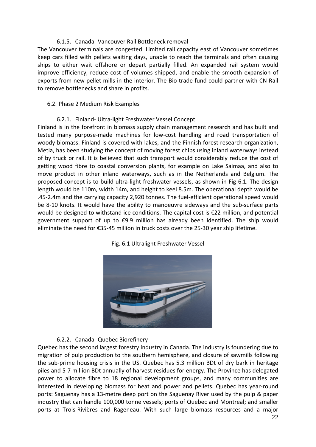#### 6.1.5. Canada‐ Vancouver Rail Bottleneck removal

The Vancouver terminals are congested. Limited rail capacity east of Vancouver sometimes keep cars filled with pellets waiting days, unable to reach the terminals and often causing ships to either wait offshore or depart partially filled. An expanded rail system would improve efficiency, reduce cost of volumes shipped, and enable the smooth expansion of exports from new pellet mills in the interior. The Bio-trade fund could partner with CN-Rail to remove bottlenecks and share in profits.

#### 6.2. Phase 2 Medium Risk Examples

#### 6.2.1. Finland‐ Ultra‐light Freshwater Vessel Concept

Finland is in the forefront in biomass supply chain management research and has built and tested many purpose‐made machines for low‐cost handling and road transportation of woody biomass. Finland is covered with lakes, and the Finnish forest research organization, Metla, has been studying the concept of moving forest chips using inland waterways instead of by truck or rail. It is believed that such transport would considerably reduce the cost of getting wood fibre to coastal conversion plants, for example on Lake Saimaa, and also to move product in other inland waterways, such as in the Netherlands and Belgium. The proposed concept is to build ultra‐light freshwater vessels, as shown in Fig 6.1. The design length would be 110m, width 14m, and height to keel 8.5m. The operational depth would be .45‐2.4m and the carrying capacity 2,920 tonnes. The fuel‐efficient operational speed would be 8-10 knots. It would have the ability to manoeuvre sideways and the sub-surface parts would be designed to withstand ice conditions. The capital cost is €22 million, and potential government support of up to €9.9 million has already been identified. The ship would eliminate the need for €35‐45 million in truck costs over the 25‐30 year ship lifetime.





#### 6.2.2. Canada‐ Quebec Biorefinery

Quebec has the second largest forestry industry in Canada. The industry is foundering due to migration of pulp production to the southern hemisphere, and closure of sawmills following the sub‐prime housing crisis in the US. Quebec has 5.3 million BDt of dry bark in heritage piles and 5‐7 million BDt annually of harvest residues for energy. The Province has delegated power to allocate fibre to 18 regional development groups, and many communities are interested in developing biomass for heat and power and pellets. Quebec has year‐round ports: Saguenay has a 13-metre deep port on the Saguenay River used by the pulp & paper industry that can handle 100,000 tonne vessels; ports of Quebec and Montreal; and smaller ports at Trois‐Rivières and Rageneau. With such large biomass resources and a major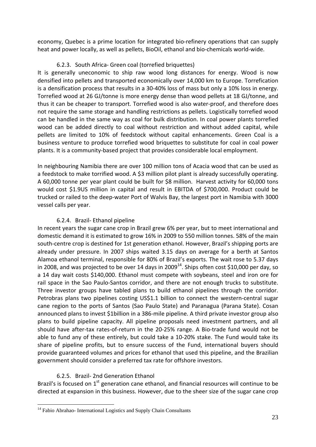economy, Quebec is a prime location for integrated bio‐refinery operations that can supply heat and power locally, as well as pellets, BioOil, ethanol and bio‐chemicals world‐wide.

# 6.2.3. South Africa‐ Green coal (torrefied briquettes)

It is generally uneconomic to ship raw wood long distances for energy. Wood is now densified into pellets and transported economically over 14,000 km to Europe. Torrefication is a densification process that results in a 30‐40% loss of mass but only a 10% loss in energy. Torrefied wood at 26 GJ/tonne is more energy dense than wood pellets at 18 GJ/tonne, and thus it can be cheaper to transport. Torrefied wood is also water‐proof, and therefore does not require the same storage and handling restrictions as pellets. Logistically torrefied wood can be handled in the same way as coal for bulk distribution. In coal power plants torrefied wood can be added directly to coal without restriction and without added capital, while pellets are limited to 10% of feedstock without capital enhancements. Green Coal is a business venture to produce torrefied wood briquettes to substitute for coal in coal power plants. It is a community‐based project that provides considerable local employment.

In neighbouring Namibia there are over 100 million tons of Acacia wood that can be used as a feedstock to make torrified wood. A \$3 million pilot plant is already successfully operating. A 60,000 tonne per year plant could be built for \$8 million. Harvest activity for 60,000 tons would cost \$1.9US million in capital and result in EBITDA of \$700,000. Product could be trucked or railed to the deep‐water Port of Walvis Bay, the largest port in Namibia with 3000 vessel calls per year.

# 6.2.4. Brazil‐ Ethanol pipeline

In recent years the sugar cane crop in Brazil grew 6% per year, but to meet international and domestic demand it is estimated to grow 16% in 2009 to 550 million tonnes. 58% of the main south-centre crop is destined for 1st generation ethanol. However, Brazil's shipping ports are already under pressure. In 2007 ships waited 3.15 days on average for a berth at Santos Alamoa ethanol terminal, responsible for 80% of Brazil's exports. The wait rose to 5.37 days in 2008, and was projected to be over 14 days in  $2009^{14}$ . Ships often cost \$10,000 per day, so a 14 day wait costs \$140,000. Ethanol must compete with soybeans, steel and iron ore for rail space in the Sao Paulo‐Santos corridor, and there are not enough trucks to substitute. Three investor groups have tabled plans to build ethanol pipelines through the corridor. Petrobras plans two pipelines costing US\$1.1 billion to connect the western-central sugar cane region to the ports of Santos (Sao Paulo State) and Paranagua (Parana State). Cosan announced plans to invest \$1billion in a 386‐mile pipeline. A third private investor group also plans to build pipeline capacity. All pipeline proposals need investment partners, and all should have after-tax rates-of-return in the 20-25% range. A Bio-trade fund would not be able to fund any of these entirely, but could take a 10‐20% stake. The Fund would take its share of pipeline profits, but to ensure success of the Fund, international buyers should provide guaranteed volumes and prices for ethanol that used this pipeline, and the Brazilian government should consider a preferred tax rate for offshore investors.

# 6.2.5. Brazil‐ 2nd Generation Ethanol

1

Brazil's is focused on  $1<sup>st</sup>$  generation cane ethanol, and financial resources will continue to be directed at expansion in this business. However, due to the sheer size of the sugar cane crop

<sup>&</sup>lt;sup>14</sup> Fabio Abrahao- International Logistics and Supply Chain Consultants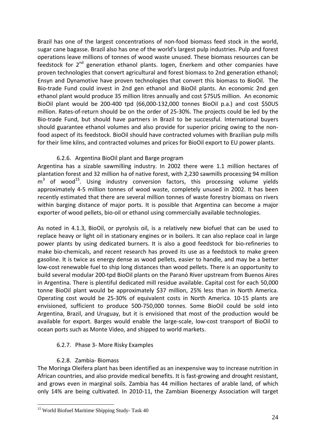Brazil has one of the largest concentrations of non-food biomass feed stock in the world, sugar cane bagasse. Brazil also has one of the world's largest pulp industries. Pulp and forest operations leave millions of tonnes of wood waste unused. These biomass resources can be feedstock for  $2^{nd}$  generation ethanol plants. logen, Enerkem and other companies have proven technologies that convert agricultural and forest biomass to 2nd generation ethanol; Ensyn and Dynamotive have proven technologies that convert this biomass to BioOil. The Bio‐trade Fund could invest in 2nd gen ethanol and BioOil plants. An economic 2nd gen ethanol plant would produce 35 million litres annually and cost \$75US million. An economic BioOil plant would be 200‐400 tpd (66,000‐132,000 tonnes BioOil p.a.) and cost \$50US million. Rates‐of‐return should be on the order of 25‐30%. The projects could be led by the Bio‐trade Fund, but should have partners in Brazil to be successful. International buyers should guarantee ethanol volumes and also provide for superior pricing owing to the non‐ food aspect of its feedstock. BioOil should have contracted volumes with Brazilian pulp mills for their lime kilns, and contracted volumes and prices for BioOil export to EU power plants.

# 6.2.6. Argentina BioOil plant and Barge program

Argentina has a sizable sawmilling industry. In 2002 there were 1.1 million hectares of plantation forest and 32 million ha of native forest, with 2,230 sawmills processing 94 million  $m<sup>3</sup>$  of wood<sup>15</sup>. Using industry conversion factors, this processing volume yields approximately 4‐5 million tonnes of wood waste, completely unused in 2002. It has been recently estimated that there are several million tonnes of waste forestry biomass on rivers within barging distance of major ports. It is possible that Argentina can become a major exporter of wood pellets, bio-oil or ethanol using commercially available technologies.

As noted in 4.1.3, BioOil, or pyrolysis oil, is a relatively new biofuel that can be used to replace heavy or light oil in stationary engines or in boilers. It can also replace coal in large power plants by using dedicated burners. It is also a good feedstock for bio‐refineries to make bio‐chemicals, and recent research has proved its use as a feedstock to make green gasoline. It is twice as energy dense as wood pellets, easier to handle, and may be a better low-cost renewable fuel to ship long distances than wood pellets. There is an opportunity to build several modular 200‐tpd BioOil plants on the Paranό River upstream from Buenos Aires in Argentina. There is plentiful dedicated mill residue available. Capital cost for each 50,000 tonne BioOil plant would be approximately \$37 million, 25% less than in North America. Operating cost would be 25‐30% of equivalent costs in North America. 10‐15 plants are envisioned, sufficient to produce 500‐750,000 tonnes. Some BioOil could be sold into Argentina, Brazil, and Uruguay, but it is envisioned that most of the production would be available for export. Barges would enable the large‐scale, low‐cost transport of BioOil to ocean ports such as Monte Video, and shipped to world markets.

# 6.2.7. Phase 3‐ More Risky Examples

# 6.2.8. Zambia‐ Biomass

The Moringa Oleifera plant has been identified as an inexpensive way to increase nutrition in African countries, and also provide medical benefits. It is fast-growing and drought resistant, and grows even in marginal soils. Zambia has 44 million hectares of arable land, of which only 14% are being cultivated. In 2010‐11, the Zambian Bioenergy Association will target

<sup>1</sup> <sup>15</sup> World Biofuel Maritime Shipping Study- Task 40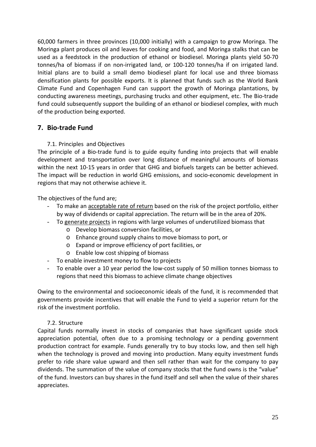60,000 farmers in three provinces (10,000 initially) with a campaign to grow Moringa. The Moringa plant produces oil and leaves for cooking and food, and Moringa stalks that can be used as a feedstock in the production of ethanol or biodiesel. Moringa plants yield 50‐70 tonnes/ha of biomass if on non‐irrigated land, or 100‐120 tonnes/ha if on irrigated land. Initial plans are to build a small demo biodiesel plant for local use and three biomass densification plants for possible exports. It is planned that funds such as the World Bank Climate Fund and Copenhagen Fund can support the growth of Moringa plantations, by conducting awareness meetings, purchasing trucks and other equipment, etc. The Bio‐trade fund could subsequently support the building of an ethanol or biodiesel complex, with much of the production being exported.

# **7. Bio‐trade Fund**

# 7.1. Principles and Objectives

The principle of a Bio-trade fund is to guide equity funding into projects that will enable development and transportation over long distance of meaningful amounts of biomass within the next 10-15 years in order that GHG and biofuels targets can be better achieved. The impact will be reduction in world GHG emissions, and socio-economic development in regions that may not otherwise achieve it.

The objectives of the fund are;

- To make an acceptable rate of return based on the risk of the project portfolio, either by way of dividends or capital appreciation. The return will be in the area of 20%.
- To generate projects in regions with large volumes of underutilized biomass that
	- o Develop biomass conversion facilities, or
	- o Enhance ground supply chains to move biomass to port, or
	- o Expand or improve efficiency of port facilities, or
	- o Enable low cost shipping of biomass
- To enable investment money to flow to projects
- To enable over a 10 year period the low‐cost supply of 50 million tonnes biomass to regions that need this biomass to achieve climate change objectives

Owing to the environmental and socioeconomic ideals of the fund, it is recommended that governments provide incentives that will enable the Fund to yield a superior return for the risk of the investment portfolio.

# 7.2. Structure

Capital funds normally invest in stocks of companies that have significant upside stock appreciation potential, often due to a promising technology or a pending government production contract for example. Funds generally try to buy stocks low, and then sell high when the technology is proved and moving into production. Many equity investment funds prefer to ride share value upward and then sell rather than wait for the company to pay dividends. The summation of the value of company stocks that the fund owns is the "value" of the fund. Investors can buy shares in the fund itself and sell when the value of their shares appreciates.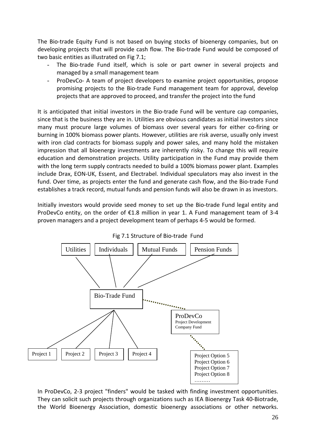The Bio-trade Equity Fund is not based on buying stocks of bioenergy companies, but on developing projects that will provide cash flow. The Bio-trade Fund would be composed of two basic entities as illustrated on Fig 7.1;

- The Bio-trade Fund itself, which is sole or part owner in several projects and managed by a small management team
- ProDevCo‐ A team of project developers to examine project opportunities, propose promising projects to the Bio‐trade Fund management team for approval, develop projects that are approved to proceed, and transfer the project into the fund

It is anticipated that initial investors in the Bio-trade Fund will be venture cap companies, since that is the business they are in. Utilities are obvious candidates as initial investors since many must procure large volumes of biomass over several years for either co-firing or burning in 100% biomass power plants. However, utilities are risk averse, usually only invest with iron clad contracts for biomass supply and power sales, and many hold the mistaken impression that all bioenergy investments are inherently risky. To change this will require education and demonstration projects. Utility participation in the Fund may provide them with the long term supply contracts needed to build a 100% biomass power plant. Examples include Drax, EON‐UK, Essent, and Electrabel. Individual speculators may also invest in the fund. Over time, as projects enter the fund and generate cash flow, and the Bio-trade Fund establishes a track record, mutual funds and pension funds will also be drawn in as investors.

Initially investors would provide seed money to set up the Bio‐trade Fund legal entity and ProDevCo entity, on the order of  $E1.8$  million in year 1. A Fund management team of 3-4 proven managers and a project development team of perhaps 4‐5 would be formed.





In ProDevCo, 2-3 project "finders" would be tasked with finding investment opportunities. They can solicit such projects through organizations such as IEA Bioenergy Task 40‐Biotrade, the World Bioenergy Association, domestic bioenergy associations or other networks.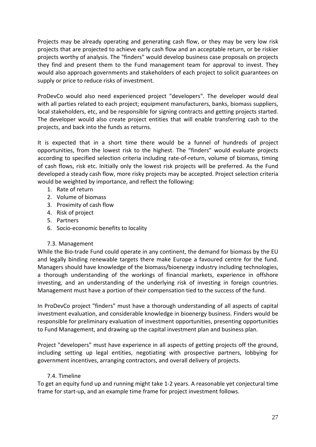Projects may be already operating and generating cash flow, or they may be very low risk projects that are projected to achieve early cash flow and an acceptable return, or be riskier projects worthy of analysis. The "finders" would develop business case proposals on projects they find and present them to the Fund management team for approval to invest. They would also approach governments and stakeholders of each project to solicit guarantees on supply or price to reduce risks of investment.

ProDevCo would also need experienced project "developers". The developer would deal with all parties related to each project; equipment manufacturers, banks, biomass suppliers, local stakeholders, etc, and be responsible for signing contracts and getting projects started. The developer would also create project entities that will enable transferring cash to the projects, and back into the funds as returns.

It is expected that in a short time there would be a funnel of hundreds of project opportunities, from the lowest risk to the highest. The "finders" would evaluate projects according to specified selection criteria including rate-of-return, volume of biomass, timing of cash flows, risk etc. Initially only the lowest risk projects will be preferred. As the Fund developed a steady cash flow, more risky projects may be accepted. Project selection criteria would be weighted by importance, and reflect the following:

- 1. Rate of return
- 2. Volume of biomass
- 3. Proximity of cash flow
- 4. Risk of project
- 5. Partners
- 6. Socio‐economic benefits to locality

# 7.3. Management

While the Bio-trade Fund could operate in any continent, the demand for biomass by the EU and legally binding renewable targets there make Europe a favoured centre for the fund. Managers should have knowledge of the biomass/bioenergy industry including technologies, a thorough understanding of the workings of financial markets, experience in offshore investing, and an understanding of the underlying risk of investing in foreign countries. Management must have a portion of their compensation tied to the success of the fund.

In ProDevCo project "finders" must have a thorough understanding of all aspects of capital investment evaluation, and considerable knowledge in bioenergy business. Finders would be responsible for preliminary evaluation of investment opportunities, presenting opportunities to Fund Management, and drawing up the capital investment plan and business plan.

Project "developers" must have experience in all aspects of getting projects off the ground, including setting up legal entities, negotiating with prospective partners, lobbying for government incentives, arranging contractors, and overall delivery of projects.

# 7.4. Timeline

To get an equity fund up and running might take 1‐2 years. A reasonable yet conjectural time frame for start-up, and an example time frame for project investment follows.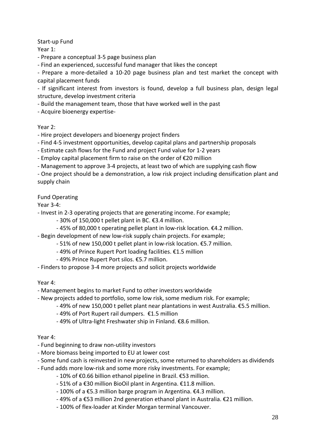# Start‐up Fund

Year 1:

‐ Prepare a conceptual 3‐5 page business plan

‐ Find an experienced, successful fund manager that likes the concept

‐ Prepare a more‐detailed a 10‐20 page business plan and test market the concept with capital placement funds

‐ If significant interest from investors is found, develop a full business plan, design legal structure, develop investment criteria

‐ Build the management team, those that have worked well in the past

‐ Acquire bioenergy expertise‐

# Year 2:

‐ Hire project developers and bioenergy project finders

‐ Find 4‐5 investment opportunities, develop capital plans and partnership proposals

‐ Estimate cash flows for the Fund and project Fund value for 1‐2 years

‐ Employ capital placement firm to raise on the order of €20 million

‐ Management to approve 3‐4 projects, at least two of which are supplying cash flow

‐ One project should be a demonstration, a low risk project including densification plant and supply chain

# Fund Operating

Year 3‐4:

‐ Invest in 2‐3 operating projects that are generating income. For example;

- ‐ 30% of 150,000 t pellet plant in BC. €3.4 million.
- ‐ 45% of 80,000 t operating pellet plant in low‐risk location. €4.2 million.
- ‐ Begin development of new low‐risk supply chain projects. For example;
	- ‐ 51% of new 150,000 t pellet plant in low‐risk location. €5.7 million.
	- ‐ 49% of Prince Rupert Port loading facilities. €1.5 million
	- ‐ 49% Prince Rupert Port silos. €5.7 million.
- ‐ Finders to propose 3‐4 more projects and solicit projects worldwide

# Year 4:

‐ Management begins to market Fund to other investors worldwide

- ‐ New projects added to portfolio, some low risk, some medium risk. For example;
	- ‐ 49% of new 150,000 t pellet plant near plantations in west Australia. €5.5 million.
		- ‐ 49% of Port Rupert rail dumpers. €1.5 million
		- ‐ 49% of Ultra‐light Freshwater ship in Finland. €8.6 million.

# Year 4:

- ‐ Fund beginning to draw non‐utility investors
- ‐ More biomass being imported to EU at lower cost
- ‐ Some fund cash is reinvested in new projects, some returned to shareholders as dividends
- ‐ Fund adds more low‐risk and some more risky investments. For example;
	- ‐ 10% of €0.66 billion ethanol pipeline in Brazil. €53 million.
	- ‐ 51% of a €30 million BioOil plant in Argentina. €11.8 million.
	- ‐ 100% of a €5.3 million barge program in Argentina. €4.3 million.
	- ‐ 49% of a €53 million 2nd generation ethanol plant in Australia. €21 million.
	- ‐ 100% of flex‐loader at Kinder Morgan terminal Vancouver.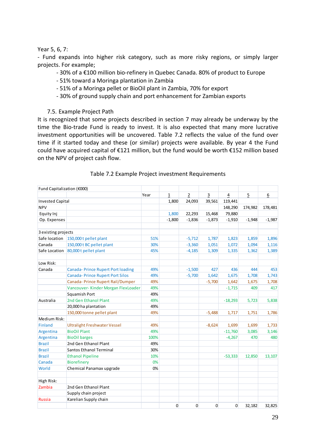Year 5, 6, 7:

‐ Fund expands into higher risk category, such as more risky regions, or simply larger projects. For example;

- ‐ 30% of a €100 million bio‐refinery in Quebec Canada. 80% of product to Europe
- ‐ 51% toward a Moringa plantation in Zambia
- ‐ 51% of a Moringa pellet or BioOil plant in Zambia, 70% for export
- ‐ 30% of ground supply chain and port enhancement for Zambian exports
- 7.5. Example Project Path

It is recognized that some projects described in section 7 may already be underway by the time the Bio-trade Fund is ready to invest. It is also expected that many more lucrative investment opportunities will be uncovered. Table 7.2 reflects the value of the fund over time if it started today and these (or similar) projects were available. By year 4 the Fund could have acquired capital of €121 million, but the fund would be worth €152 million based on the NPV of project cash flow.

| Fund Capitalization (€000) |                                          |      |                |                |              |             |          |          |
|----------------------------|------------------------------------------|------|----------------|----------------|--------------|-------------|----------|----------|
|                            |                                          | Year | $\mathbf{1}$   | $\overline{2}$ | 3            | 4           | 5        | 6        |
| <b>Invested Capital</b>    |                                          |      | 1,800          | 24,093         | 39,561       | 119,441     |          |          |
| <b>NPV</b>                 |                                          |      |                |                |              | 148,290     | 174,982  | 178,481  |
| Equity Inj                 |                                          |      | 1,800          | 22,293         | 15,468       | 79,880      |          |          |
| Op. Expenses               |                                          |      | $-1,800$       | $-1,836$       | $-1,873$     | $-1,910$    | $-1,948$ | $-1,987$ |
| 3 existing projects        |                                          |      |                |                |              |             |          |          |
| Safe location              | 150,000 t pellet plant                   | 51%  |                | $-5,712$       | 1,787        | 1,823       | 1,859    | 1,896    |
| Canada                     | 150,000 t BC pellet plant                | 30%  |                | $-3,360$       | 1,051        | 1,072       | 1,094    | 1,116    |
| Safe Location              | 80,000 t pellet plant                    | 45%  |                | $-4,185$       | 1,309        | 1,335       | 1,362    | 1,389    |
| Low Risk:                  |                                          |      |                |                |              |             |          |          |
| Canada                     | <b>Canada-Prince Rupert Port loading</b> | 49%  |                | $-1,500$       | 427          | 436         | 444      | 453      |
|                            | <b>Canada-Prince Rupert Port Silos</b>   | 49%  |                | $-5,700$       | 1,642        | 1,675       | 1,708    | 1,743    |
|                            | Canada- Prince Rupert Rail/Dumper        | 49%  |                |                | $-5,700$     | 1,642       | 1,675    | 1,708    |
|                            | Vancouver-Kinder Morgan FlexLoader       | 49%  |                |                |              | $-1,715$    | 409      | 417      |
|                            | Squamish Port                            | 49%  |                |                |              |             |          |          |
| Australia                  | 2nd Gen Ethanol Plant                    | 49%  |                |                |              | $-18,293$   | 5,723    | 5,838    |
|                            | 20,000 ha plantation                     | 49%  |                |                |              |             |          |          |
|                            | 150,000 tonne pellet plant               | 49%  |                |                | $-5,488$     | 1,717       | 1,751    | 1,786    |
| Medium Risk:               |                                          |      |                |                |              |             |          |          |
| Finland                    | <b>Ultralight Freshwater Vessel</b>      | 49%  |                |                | $-8,624$     | 1,699       | 1,699    | 1,733    |
| Argentina                  | <b>BioOil Plant</b>                      | 49%  |                |                |              | $-11,760$   | 3,085    | 3,146    |
| Argentina                  | <b>BioOil barges</b>                     | 100% |                |                |              | $-4,267$    | 470      | 480      |
| <b>Brazil</b>              | 2nd Gen Ethanol Plant                    | 49%  |                |                |              |             |          |          |
| <b>Brazil</b>              | <b>Santos Ethanol Terminal</b>           | 30%  |                |                |              |             |          |          |
| <b>Brazil</b>              | <b>Ethanol Pipeline</b>                  | 10%  |                |                |              | $-53,333$   | 12,850   | 13,107   |
| Canada                     | <b>Biorefinery</b>                       | 0%   |                |                |              |             |          |          |
| World                      | Chemical Panamax upgrade                 | 0%   |                |                |              |             |          |          |
| High Risk:                 |                                          |      |                |                |              |             |          |          |
| Zambia                     | 2nd Gen Ethanol Plant                    |      |                |                |              |             |          |          |
|                            | Supply chain project                     |      |                |                |              |             |          |          |
| <b>Russia</b>              | Karelian Supply chain                    |      |                |                |              |             |          |          |
|                            |                                          |      | $\overline{0}$ | $\mathbf 0$    | $\mathbf{0}$ | $\mathbf 0$ | 32,182   | 32,825   |

#### Table 7.2 Example Project investment Requirements